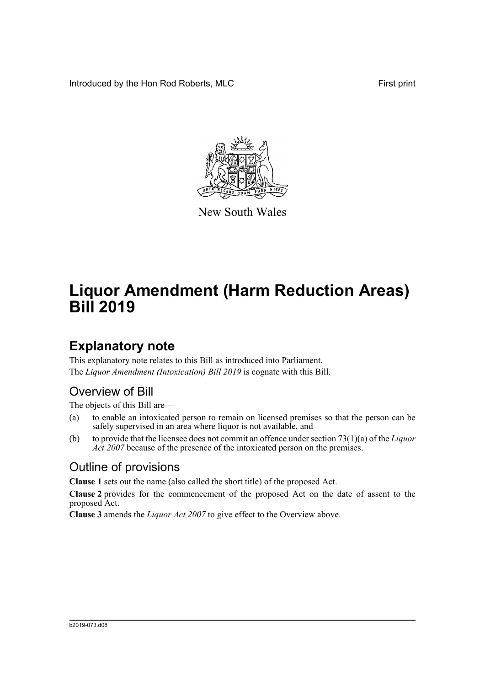Introduced by the Hon Rod Roberts, MLC First print



New South Wales

# **Liquor Amendment (Harm Reduction Areas) Bill 2019**

## **Explanatory note**

This explanatory note relates to this Bill as introduced into Parliament. The *Liquor Amendment (Intoxication) Bill 2019* is cognate with this Bill.

#### Overview of Bill

The objects of this Bill are—

- (a) to enable an intoxicated person to remain on licensed premises so that the person can be safely supervised in an area where liquor is not available, and
- (b) to provide that the licensee does not commit an offence under section 73(1)(a) of the *Liquor Act 2007* because of the presence of the intoxicated person on the premises.

#### Outline of provisions

**Clause 1** sets out the name (also called the short title) of the proposed Act.

**Clause 2** provides for the commencement of the proposed Act on the date of assent to the proposed Act.

**Clause 3** amends the *Liquor Act 2007* to give effect to the Overview above.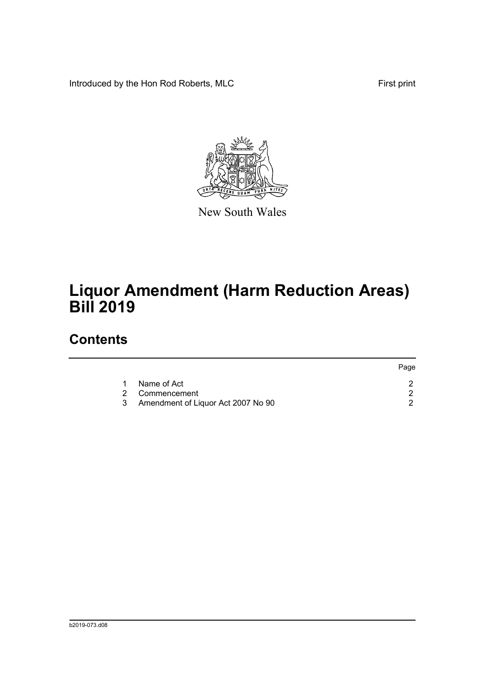Introduced by the Hon Rod Roberts, MLC First print



New South Wales

# **Liquor Amendment (Harm Reduction Areas) Bill 2019**

### **Contents**

|   |                                    | Page |
|---|------------------------------------|------|
| 1 | Name of Act                        |      |
|   | 2 Commencement                     |      |
| 3 | Amendment of Liquor Act 2007 No 90 |      |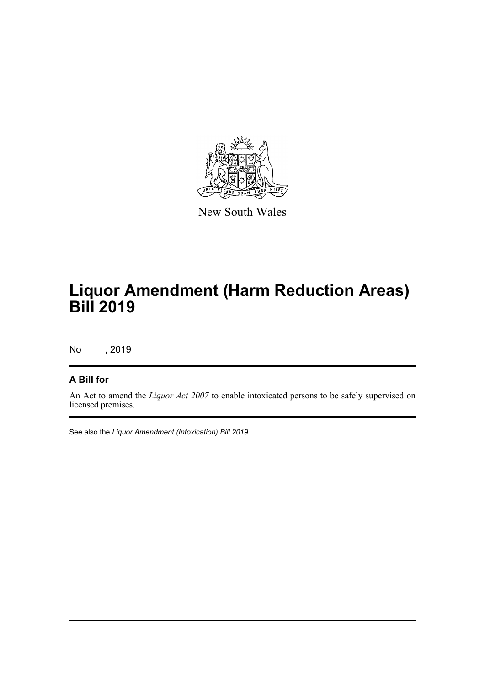

New South Wales

## **Liquor Amendment (Harm Reduction Areas) Bill 2019**

No , 2019

#### **A Bill for**

An Act to amend the *Liquor Act 2007* to enable intoxicated persons to be safely supervised on licensed premises.

See also the *Liquor Amendment (Intoxication) Bill 2019*.